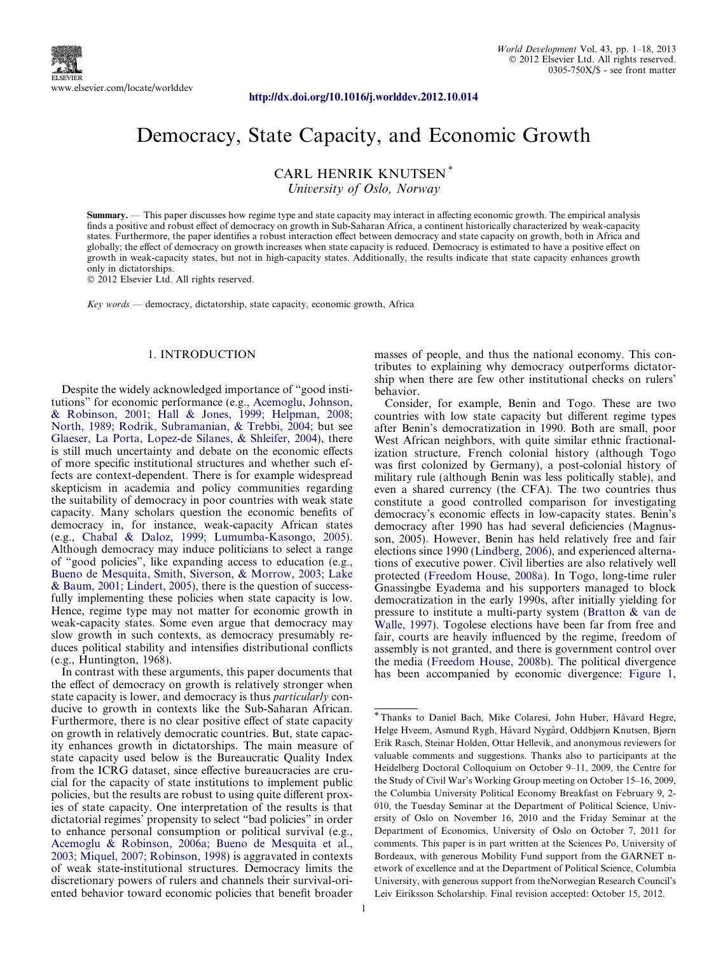<http://dx.doi.org/10.1016/j.worlddev.2012.10.014>

# Democracy, State Capacity, and Economic Growth

CARL HENRIK KNUTSEN \*

University of Oslo, Norway

Summary. — This paper discusses how regime type and state capacity may interact in affecting economic growth. The empirical analysis finds a positive and robust effect of democracy on growth in Sub-Saharan Africa, a continent historically characterized by weak-capacity states. Furthermore, the paper identifies a robust interaction effect between democracy and state capacity on growth, both in Africa and globally; the effect of democracy on growth increases when state capacity is reduced. Democracy is estimated to have a positive effect on growth in weak-capacity states, but not in high-capacity states. Additionally, the results indicate that state capacity enhances growth only in dictatorships.

- 2012 Elsevier Ltd. All rights reserved.

Key words — democracy, dictatorship, state capacity, economic growth, Africa

## 1. INTRODUCTION

Despite the widely acknowledged importance of "good institutions" for economic performance (e.g., [Acemoglu, Johnson,](#page--1-0) [& Robinson, 2001; Hall & Jones, 1999; Helpman, 2008;](#page--1-0) [North, 1989; Rodrik, Subramanian, & Trebbi, 2004](#page--1-0); but see [Glaeser, La Porta, Lopez-de Silanes, & Shleifer, 2004](#page--1-0)), there is still much uncertainty and debate on the economic effects of more specific institutional structures and whether such effects are context-dependent. There is for example widespread skepticism in academia and policy communities regarding the suitability of democracy in poor countries with weak state capacity. Many scholars question the economic benefits of democracy in, for instance, weak-capacity African states (e.g., [Chabal & Daloz, 1999; Lumumba-Kasongo, 2005\)](#page--1-0). Although democracy may induce politicians to select a range of "good policies", like expanding access to education (e.g., [Bueno de Mesquita, Smith, Siverson, & Morrow, 2003; Lake](#page--1-0) [& Baum, 2001; Lindert, 2005\)](#page--1-0), there is the question of successfully implementing these policies when state capacity is low. Hence, regime type may not matter for economic growth in weak-capacity states. Some even argue that democracy may slow growth in such contexts, as democracy presumably reduces political stability and intensifies distributional conflicts (e.g., Huntington, 1968).

In contrast with these arguments, this paper documents that the effect of democracy on growth is relatively stronger when state capacity is lower, and democracy is thus particularly conducive to growth in contexts like the Sub-Saharan African. Furthermore, there is no clear positive effect of state capacity on growth in relatively democratic countries. But, state capacity enhances growth in dictatorships. The main measure of state capacity used below is the Bureaucratic Quality Index from the ICRG dataset, since effective bureaucracies are crucial for the capacity of state institutions to implement public policies, but the results are robust to using quite different proxies of state capacity. One interpretation of the results is that dictatorial regimes' propensity to select "bad policies" in order to enhance personal consumption or political survival (e.g., [Acemoglu & Robinson, 2006a; Bueno de Mesquita et al.,](#page--1-0) [2003; Miquel, 2007; Robinson, 1998](#page--1-0)) is aggravated in contexts of weak state-institutional structures. Democracy limits the discretionary powers of rulers and channels their survival-oriented behavior toward economic policies that benefit broader

masses of people, and thus the national economy. This contributes to explaining why democracy outperforms dictatorship when there are few other institutional checks on rulers' behavior.

Consider, for example, Benin and Togo. These are two countries with low state capacity but different regime types after Benin's democratization in 1990. Both are small, poor West African neighbors, with quite similar ethnic fractionalization structure, French colonial history (although Togo was first colonized by Germany), a post-colonial history of military rule (although Benin was less politically stable), and even a shared currency (the CFA). The two countries thus constitute a good controlled comparison for investigating democracy's economic effects in low-capacity states. Benin's democracy after 1990 has had several deficiencies (Magnusson, 2005). However, Benin has held relatively free and fair elections since 1990 [\(Lindberg, 2006\)](#page--1-0), and experienced alternations of executive power. Civil liberties are also relatively well protected [\(Freedom House, 2008a](#page--1-0)). In Togo, long-time ruler Gnassingbe Eyadema and his supporters managed to block democratization in the early 1990s, after initially yielding for pressure to institute a multi-party system ([Bratton & van de](#page--1-0) [Walle, 1997\)](#page--1-0). Togolese elections have been far from free and fair, courts are heavily influenced by the regime, freedom of assembly is not granted, and there is government control over the media ([Freedom House, 2008b](#page--1-0)). The political divergence has been accompanied by economic divergence: [Figure 1](#page-1-0),

<sup>\*</sup>Thanks to Daniel Bach, Mike Colaresi, John Huber, Ha˚vard Hegre, Helge Hveem, Asmund Rygh, Håvard Nygård, Oddbjørn Knutsen, Bjørn Erik Rasch, Steinar Holden, Ottar Hellevik, and anonymous reviewers for valuable comments and suggestions. Thanks also to participants at the Heidelberg Doctoral Colloquium on October 9–11, 2009, the Centre for the Study of Civil War's Working Group meeting on October 15–16, 2009, the Columbia University Political Economy Breakfast on February 9, 2- 010, the Tuesday Seminar at the Department of Political Science, University of Oslo on November 16, 2010 and the Friday Seminar at the Department of Economics, University of Oslo on October 7, 2011 for comments. This paper is in part written at the Sciences Po, University of Bordeaux, with generous Mobility Fund support from the GARNET network of excellence and at the Department of Political Science, Columbia University, with generous support from theNorwegian Research Council's Leiv Eiriksson Scholarship. Final revision accepted: October 15, 2012.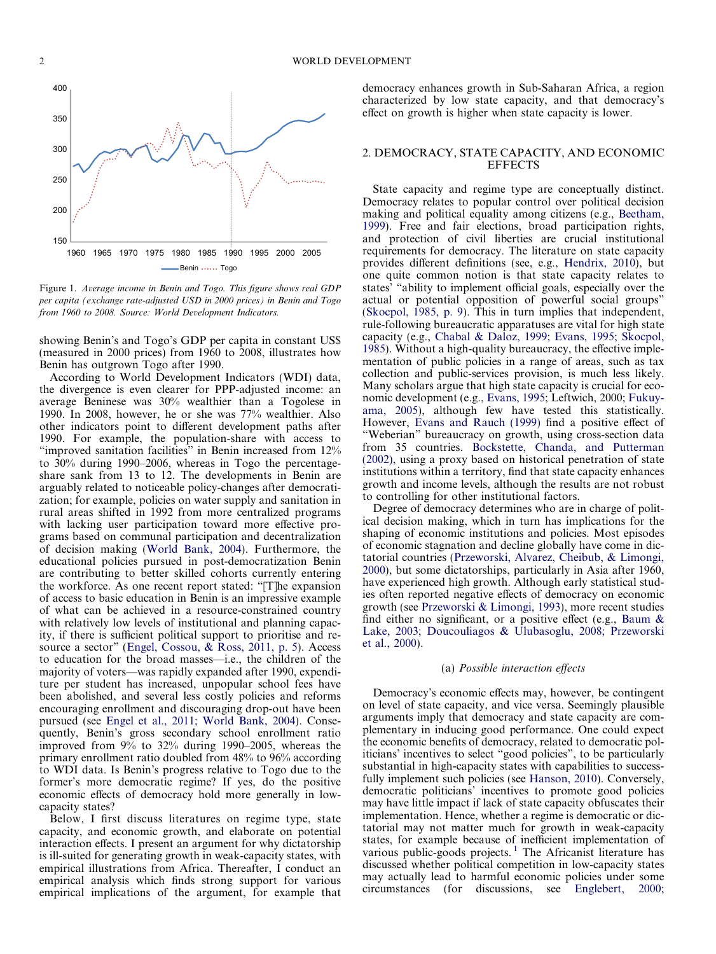<span id="page-1-0"></span>

Figure 1. Average income in Benin and Togo. This figure shows real GDP per capita (exchange rate-adjusted USD in 2000 prices) in Benin and Togo from 1960 to 2008. Source: World Development Indicators.

showing Benin's and Togo's GDP per capita in constant US\$ (measured in 2000 prices) from 1960 to 2008, illustrates how Benin has outgrown Togo after 1990.

According to World Development Indicators (WDI) data, the divergence is even clearer for PPP-adjusted income: an average Beninese was 30% wealthier than a Togolese in 1990. In 2008, however, he or she was 77% wealthier. Also other indicators point to different development paths after 1990. For example, the population-share with access to "improved sanitation facilities" in Benin increased from 12% to 30% during 1990–2006, whereas in Togo the percentageshare sank from 13 to 12. The developments in Benin are arguably related to noticeable policy-changes after democratization; for example, policies on water supply and sanitation in rural areas shifted in 1992 from more centralized programs with lacking user participation toward more effective programs based on communal participation and decentralization of decision making [\(World Bank, 2004\)](#page--1-0). Furthermore, the educational policies pursued in post-democratization Benin are contributing to better skilled cohorts currently entering the workforce. As one recent report stated: "[T]he expansion of access to basic education in Benin is an impressive example of what can be achieved in a resource-constrained country with relatively low levels of institutional and planning capacity, if there is sufficient political support to prioritise and resource a sector" ([Engel, Cossou, & Ross, 2011, p. 5\)](#page--1-0). Access to education for the broad masses—i.e., the children of the majority of voters—was rapidly expanded after 1990, expenditure per student has increased, unpopular school fees have been abolished, and several less costly policies and reforms encouraging enrollment and discouraging drop-out have been pursued (see [Engel et al., 2011; World Bank, 2004\)](#page--1-0). Consequently, Benin's gross secondary school enrollment ratio improved from 9% to 32% during 1990–2005, whereas the primary enrollment ratio doubled from 48% to 96% according to WDI data. Is Benin's progress relative to Togo due to the former's more democratic regime? If yes, do the positive economic effects of democracy hold more generally in lowcapacity states?

Below, I first discuss literatures on regime type, state capacity, and economic growth, and elaborate on potential interaction effects. I present an argument for why dictatorship is ill-suited for generating growth in weak-capacity states, with empirical illustrations from Africa. Thereafter, I conduct an empirical analysis which finds strong support for various empirical implications of the argument, for example that democracy enhances growth in Sub-Saharan Africa, a region characterized by low state capacity, and that democracy's effect on growth is higher when state capacity is lower.

#### 2. DEMOCRACY, STATE CAPACITY, AND ECONOMIC **EFFECTS**

State capacity and regime type are conceptually distinct. Democracy relates to popular control over political decision making and political equality among citizens (e.g., [Beetham,](#page--1-0) [1999\)](#page--1-0). Free and fair elections, broad participation rights, and protection of civil liberties are crucial institutional requirements for democracy. The literature on state capacity provides different definitions (see, e.g., [Hendrix, 2010\)](#page--1-0), but one quite common notion is that state capacity relates to states' "ability to implement official goals, especially over the actual or potential opposition of powerful social groups" ([Skocpol, 1985, p. 9](#page--1-0)). This in turn implies that independent, rule-following bureaucratic apparatuses are vital for high state capacity (e.g., [Chabal & Daloz, 1999; Evans, 1995; Skocpol,](#page--1-0) [1985\)](#page--1-0). Without a high-quality bureaucracy, the effective implementation of public policies in a range of areas, such as tax collection and public-services provision, is much less likely. Many scholars argue that high state capacity is crucial for economic development (e.g., [Evans, 1995;](#page--1-0) Leftwich, 2000; [Fukuy](#page--1-0)[ama, 2005\)](#page--1-0), although few have tested this statistically. However, [Evans and Rauch \(1999\)](#page--1-0) find a positive effect of "Weberian" bureaucracy on growth, using cross-section data from 35 countries. [Bockstette, Chanda, and Putterman](#page--1-0) [\(2002\),](#page--1-0) using a proxy based on historical penetration of state institutions within a territory, find that state capacity enhances growth and income levels, although the results are not robust to controlling for other institutional factors.

Degree of democracy determines who are in charge of political decision making, which in turn has implications for the shaping of economic institutions and policies. Most episodes of economic stagnation and decline globally have come in dictatorial countries ([Przeworski, Alvarez, Cheibub, & Limongi,](#page--1-0) [2000\)](#page--1-0), but some dictatorships, particularly in Asia after 1960, have experienced high growth. Although early statistical studies often reported negative effects of democracy on economic growth (see [Przeworski & Limongi, 1993](#page--1-0)), more recent studies find either no significant, or a positive effect (e.g., [Baum &](#page--1-0) [Lake, 2003; Doucouliagos & Ulubasoglu, 2008; Przeworski](#page--1-0) [et al., 2000\)](#page--1-0).

### (a) Possible interaction effects

Democracy's economic effects may, however, be contingent on level of state capacity, and vice versa. Seemingly plausible arguments imply that democracy and state capacity are complementary in inducing good performance. One could expect the economic benefits of democracy, related to democratic politicians' incentives to select "good policies", to be particularly substantial in high-capacity states with capabilities to success-fully implement such policies (see [Hanson, 2010\)](#page--1-0). Conversely, democratic politicians' incentives to promote good policies may have little impact if lack of state capacity obfuscates their implementation. Hence, whether a regime is democratic or dictatorial may not matter much for growth in weak-capacity states, for example because of inefficient implementation of various public-goods projects.<sup>1</sup> The Africanist literature has discussed whether political competition in low-capacity states may actually lead to harmful economic policies under some circumstances (for discussions, see [Englebert, 2000;](#page--1-0)